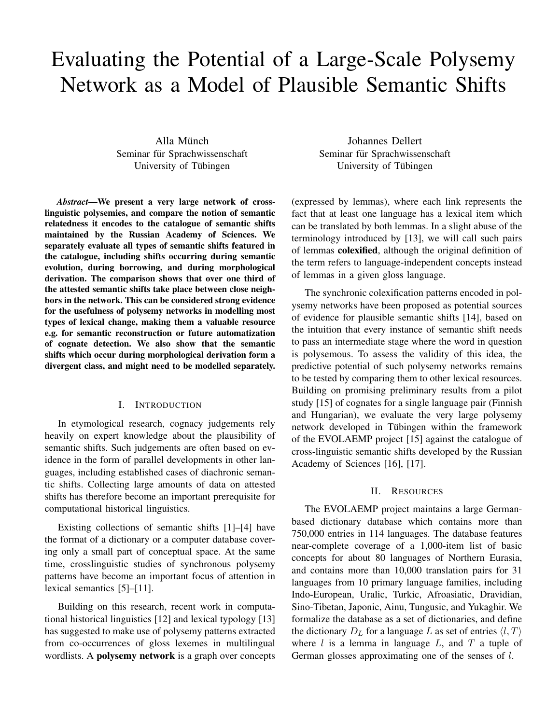# Evaluating the Potential of a Large-Scale Polysemy Network as a Model of Plausible Semantic Shifts

Alla Münch Seminar für Sprachwissenschaft University of Tübingen

*Abstract*—We present a very large network of crosslinguistic polysemies, and compare the notion of semantic relatedness it encodes to the catalogue of semantic shifts maintained by the Russian Academy of Sciences. We separately evaluate all types of semantic shifts featured in the catalogue, including shifts occurring during semantic evolution, during borrowing, and during morphological derivation. The comparison shows that over one third of the attested semantic shifts take place between close neighbors in the network. This can be considered strong evidence for the usefulness of polysemy networks in modelling most types of lexical change, making them a valuable resource e.g. for semantic reconstruction or future automatization of cognate detection. We also show that the semantic shifts which occur during morphological derivation form a divergent class, and might need to be modelled separately.

## I. INTRODUCTION

In etymological research, cognacy judgements rely heavily on expert knowledge about the plausibility of semantic shifts. Such judgements are often based on evidence in the form of parallel developments in other languages, including established cases of diachronic semantic shifts. Collecting large amounts of data on attested shifts has therefore become an important prerequisite for computational historical linguistics.

Existing collections of semantic shifts [1]–[4] have the format of a dictionary or a computer database covering only a small part of conceptual space. At the same time, crosslinguistic studies of synchronous polysemy patterns have become an important focus of attention in lexical semantics [5]–[11].

Building on this research, recent work in computational historical linguistics [12] and lexical typology [13] has suggested to make use of polysemy patterns extracted from co-occurrences of gloss lexemes in multilingual wordlists. A polysemy network is a graph over concepts

Johannes Dellert Seminar für Sprachwissenschaft University of Tübingen

(expressed by lemmas), where each link represents the fact that at least one language has a lexical item which can be translated by both lemmas. In a slight abuse of the terminology introduced by [13], we will call such pairs of lemmas colexified, although the original definition of the term refers to language-independent concepts instead of lemmas in a given gloss language.

The synchronic colexification patterns encoded in polysemy networks have been proposed as potential sources of evidence for plausible semantic shifts [14], based on the intuition that every instance of semantic shift needs to pass an intermediate stage where the word in question is polysemous. To assess the validity of this idea, the predictive potential of such polysemy networks remains to be tested by comparing them to other lexical resources. Building on promising preliminary results from a pilot study [15] of cognates for a single language pair (Finnish and Hungarian), we evaluate the very large polysemy network developed in Tübingen within the framework of the EVOLAEMP project [15] against the catalogue of cross-linguistic semantic shifts developed by the Russian Academy of Sciences [16], [17].

#### II. RESOURCES

The EVOLAEMP project maintains a large Germanbased dictionary database which contains more than 750,000 entries in 114 languages. The database features near-complete coverage of a 1,000-item list of basic concepts for about 80 languages of Northern Eurasia, and contains more than 10,000 translation pairs for 31 languages from 10 primary language families, including Indo-European, Uralic, Turkic, Afroasiatic, Dravidian, Sino-Tibetan, Japonic, Ainu, Tungusic, and Yukaghir. We formalize the database as a set of dictionaries, and define the dictionary  $D_L$  for a language L as set of entries  $\langle l, T \rangle$ where  $l$  is a lemma in language  $L$ , and  $T$  a tuple of German glosses approximating one of the senses of l.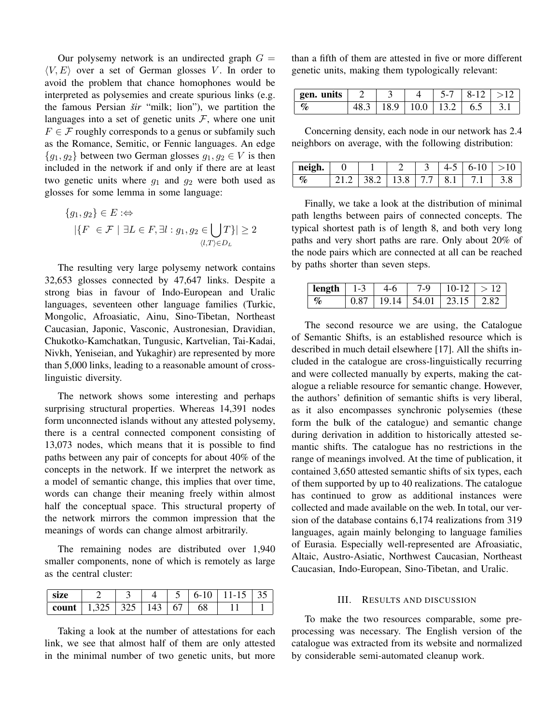Our polysemy network is an undirected graph  $G =$  $\langle V, E \rangle$  over a set of German glosses V. In order to avoid the problem that chance homophones would be interpreted as polysemies and create spurious links (e.g. the famous Persian *sir ˇ* "milk; lion"), we partition the languages into a set of genetic units  $\mathcal{F}$ , where one unit  $F \in \mathcal{F}$  roughly corresponds to a genus or subfamily such as the Romance, Semitic, or Fennic languages. An edge  ${g_1, g_2}$  between two German glosses  $g_1, g_2 \in V$  is then included in the network if and only if there are at least two genetic units where  $g_1$  and  $g_2$  were both used as glosses for some lemma in some language:

$$
\{g_1, g_2\} \in E : \Leftrightarrow
$$
  
 
$$
|\{F \in \mathcal{F} \mid \exists L \in F, \exists l : g_1, g_2 \in \bigcup_{\langle l, T \rangle \in D_L} T\}| \ge 2
$$

The resulting very large polysemy network contains 32,653 glosses connected by 47,647 links. Despite a strong bias in favour of Indo-European and Uralic languages, seventeen other language families (Turkic, Mongolic, Afroasiatic, Ainu, Sino-Tibetan, Northeast Caucasian, Japonic, Vasconic, Austronesian, Dravidian, Chukotko-Kamchatkan, Tungusic, Kartvelian, Tai-Kadai, Nivkh, Yeniseian, and Yukaghir) are represented by more than 5,000 links, leading to a reasonable amount of crosslinguistic diversity.

The network shows some interesting and perhaps surprising structural properties. Whereas 14,391 nodes form unconnected islands without any attested polysemy, there is a central connected component consisting of 13,073 nodes, which means that it is possible to find paths between any pair of concepts for about 40% of the concepts in the network. If we interpret the network as a model of semantic change, this implies that over time, words can change their meaning freely within almost half the conceptual space. This structural property of the network mirrors the common impression that the meanings of words can change almost arbitrarily.

The remaining nodes are distributed over 1,940 smaller components, none of which is remotely as large as the central cluster:

| size                                  |  |  |    | $6-10$   11-15   35 |  |
|---------------------------------------|--|--|----|---------------------|--|
| <b>count</b>   1,325   325   143   67 |  |  | 68 |                     |  |

Taking a look at the number of attestations for each link, we see that almost half of them are only attested in the minimal number of two genetic units, but more than a fifth of them are attested in five or more different genetic units, making them typologically relevant:

| gen. units |  | 5-7 | $ 8-12  > 12$                           |  |
|------------|--|-----|-----------------------------------------|--|
|            |  |     | $48.3$   18.9   10.0   13.2   6.5   3.1 |  |

Concerning density, each node in our network has 2.4 neighbors on average, with the following distribution:

| neigh. |                                |  | $4-5$ | $6-10$ >10 |  |
|--------|--------------------------------|--|-------|------------|--|
|        | 21.2   38.2   13.8   7.7   8.1 |  |       | 1711       |  |

Finally, we take a look at the distribution of minimal path lengths between pairs of connected concepts. The typical shortest path is of length 8, and both very long paths and very short paths are rare. Only about 20% of the node pairs which are connected at all can be reached by paths shorter than seven steps.

| length   $1-3$ | $4-6$ | $7-9$   10-12   > 12                  |  |
|----------------|-------|---------------------------------------|--|
|                |       | $0.87$   19.14   54.01   23.15   2.82 |  |

The second resource we are using, the Catalogue of Semantic Shifts, is an established resource which is described in much detail elsewhere [17]. All the shifts included in the catalogue are cross-linguistically recurring and were collected manually by experts, making the catalogue a reliable resource for semantic change. However, the authors' definition of semantic shifts is very liberal, as it also encompasses synchronic polysemies (these form the bulk of the catalogue) and semantic change during derivation in addition to historically attested semantic shifts. The catalogue has no restrictions in the range of meanings involved. At the time of publication, it contained 3,650 attested semantic shifts of six types, each of them supported by up to 40 realizations. The catalogue has continued to grow as additional instances were collected and made available on the web. In total, our version of the database contains 6,174 realizations from 319 languages, again mainly belonging to language families of Eurasia. Especially well-represented are Afroasiatic, Altaic, Austro-Asiatic, Northwest Caucasian, Northeast Caucasian, Indo-European, Sino-Tibetan, and Uralic.

## III. RESULTS AND DISCUSSION

To make the two resources comparable, some preprocessing was necessary. The English version of the catalogue was extracted from its website and normalized by considerable semi-automated cleanup work.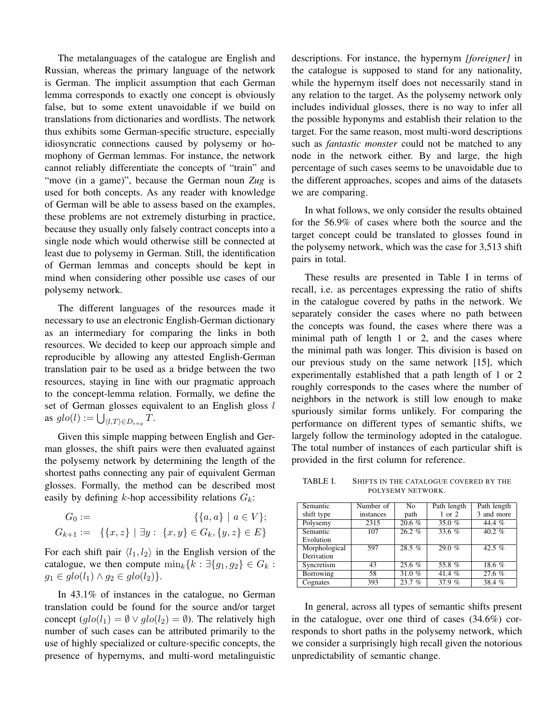The metalanguages of the catalogue are English and Russian, whereas the primary language of the network is German. The implicit assumption that each German lemma corresponds to exactly one concept is obviously false, but to some extent unavoidable if we build on translations from dictionaries and wordlists. The network thus exhibits some German-specific structure, especially idiosyncratic connections caused by polysemy or homophony of German lemmas. For instance, the network cannot reliably differentiate the concepts of "train" and "move (in a game)", because the German noun *Zug* is used for both concepts. As any reader with knowledge of German will be able to assess based on the examples, these problems are not extremely disturbing in practice, because they usually only falsely contract concepts into a single node which would otherwise still be connected at least due to polysemy in German. Still, the identification of German lemmas and concepts should be kept in mind when considering other possible use cases of our polysemy network.

The different languages of the resources made it necessary to use an electronic English-German dictionary as an intermediary for comparing the links in both resources. We decided to keep our approach simple and reproducible by allowing any attested English-German translation pair to be used as a bridge between the two resources, staying in line with our pragmatic approach to the concept-lemma relation. Formally, we define the set of German glosses equivalent to an English gloss l as  $glo(l) := \bigcup_{\langle l, T \rangle \in D_{eng}} T$ .

Given this simple mapping between English and German glosses, the shift pairs were then evaluated against the polysemy network by determining the length of the shortest paths connecting any pair of equivalent German glosses. Formally, the method can be described most easily by defining k-hop accessibility relations  $G_k$ :

$$
G_0 := \{ \{a, a\} \mid a \in V \};
$$
  

$$
G_{k+1} := \{ \{x, z\} \mid \exists y : \{x, y\} \in G_k, \{y, z\} \in E \}
$$

For each shift pair  $\langle l_1, l_2 \rangle$  in the English version of the catalogue, we then compute  $\min_k \{k : \exists \{g_1, g_2\} \in G_k : \exists \{g_1, g_2\} \in G_k\}$  $g_1 \in glo(l_1) \wedge g_2 \in glo(l_2)$ .

In 43.1% of instances in the catalogue, no German translation could be found for the source and/or target concept  $\left( \frac{g}{g} \right) = \emptyset \vee \frac{g}{g}$ . The relatively high number of such cases can be attributed primarily to the use of highly specialized or culture-specific concepts, the presence of hypernyms, and multi-word metalinguistic descriptions. For instance, the hypernym *[foreigner]* in the catalogue is supposed to stand for any nationality, while the hypernym itself does not necessarily stand in any relation to the target. As the polysemy network only includes individual glosses, there is no way to infer all the possible hyponyms and establish their relation to the target. For the same reason, most multi-word descriptions such as *fantastic monster* could not be matched to any node in the network either. By and large, the high percentage of such cases seems to be unavoidable due to the different approaches, scopes and aims of the datasets we are comparing.

In what follows, we only consider the results obtained for the 56.9% of cases where both the source and the target concept could be translated to glosses found in the polysemy network, which was the case for 3,513 shift pairs in total.

These results are presented in Table I in terms of recall, i.e. as percentages expressing the ratio of shifts in the catalogue covered by paths in the network. We separately consider the cases where no path between the concepts was found, the cases where there was a minimal path of length 1 or 2, and the cases where the minimal path was longer. This division is based on our previous study on the same network [15], which experimentally established that a path length of 1 or 2 roughly corresponds to the cases where the number of neighbors in the network is still low enough to make spuriously similar forms unlikely. For comparing the performance on different types of semantic shifts, we largely follow the terminology adopted in the catalogue. The total number of instances of each particular shift is provided in the first column for reference.

TABLE I. SHIFTS IN THE CATALOGUE COVERED BY THE POLYSEMY NETWORK.

| Semantic      | Number of | N <sub>0</sub> | Path length | Path length |
|---------------|-----------|----------------|-------------|-------------|
| shift type    | instances | path           | $1$ or $2$  | 3 and more  |
| Polysemy      | 2315      | $20.6 \%$      | 35.0 $%$    | 44.4 %      |
| Semantic      | 107       | $26.2 \%$      | 33.6 $%$    | $40.2 \%$   |
| Evolution     |           |                |             |             |
| Morphological | 597       | 28.5%          | 29.0%       | 42.5 $%$    |
| Derivation    |           |                |             |             |
| Syncretism    | 43        | 25.6%          | 55.8%       | 18.6%       |
| Borrowing     | 58        | 31.0%          | 41.4 $%$    | 27.6%       |
| Cognates      | 393       | 23.7%          | 37.9%       | 38.4 %      |

In general, across all types of semantic shifts present in the catalogue, over one third of cases (34.6%) corresponds to short paths in the polysemy network, which we consider a surprisingly high recall given the notorious unpredictability of semantic change.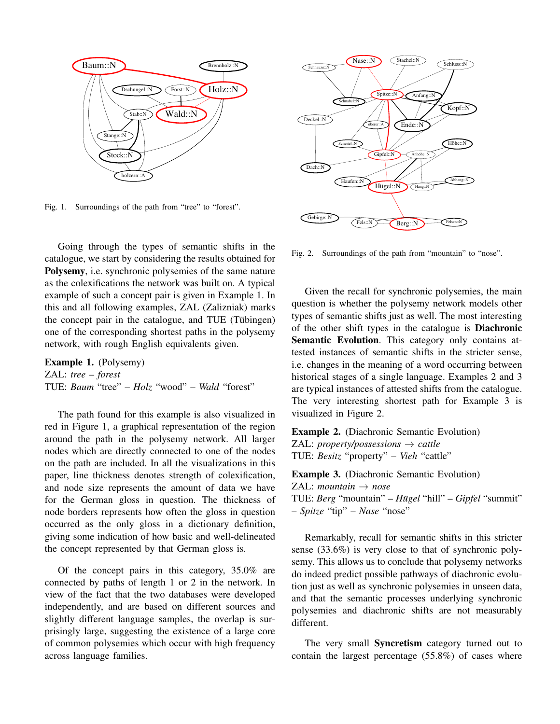

Fig. 1. Surroundings of the path from "tree" to "forest".

Going through the types of semantic shifts in the catalogue, we start by considering the results obtained for Polysemy, i.e. synchronic polysemies of the same nature as the colexifications the network was built on. A typical example of such a concept pair is given in Example 1. In this and all following examples, ZAL (Zalizniak) marks the concept pair in the catalogue, and TUE (Tübingen) one of the corresponding shortest paths in the polysemy network, with rough English equivalents given.

Example 1. (Polysemy) ZAL: *tree* – *forest* TUE: *Baum* "tree" – *Holz* "wood" – *Wald* "forest"

The path found for this example is also visualized in red in Figure 1, a graphical representation of the region around the path in the polysemy network. All larger nodes which are directly connected to one of the nodes on the path are included. In all the visualizations in this paper, line thickness denotes strength of colexification, and node size represents the amount of data we have for the German gloss in question. The thickness of node borders represents how often the gloss in question occurred as the only gloss in a dictionary definition, giving some indication of how basic and well-delineated the concept represented by that German gloss is.

Of the concept pairs in this category, 35.0% are connected by paths of length 1 or 2 in the network. In view of the fact that the two databases were developed independently, and are based on different sources and slightly different language samples, the overlap is surprisingly large, suggesting the existence of a large core of common polysemies which occur with high frequency across language families.



Fig. 2. Surroundings of the path from "mountain" to "nose".

Given the recall for synchronic polysemies, the main question is whether the polysemy network models other types of semantic shifts just as well. The most interesting of the other shift types in the catalogue is Diachronic Semantic Evolution. This category only contains attested instances of semantic shifts in the stricter sense, i.e. changes in the meaning of a word occurring between historical stages of a single language. Examples 2 and 3 are typical instances of attested shifts from the catalogue. The very interesting shortest path for Example 3 is visualized in Figure 2.

Example 2. (Diachronic Semantic Evolution) ZAL: *property/possessions* → *cattle* TUE: *Besitz* "property" – *Vieh* "cattle"

Example 3. (Diachronic Semantic Evolution) ZAL:  $mountain \rightarrow nose$ TUE: *Berg* "mountain" – *Hugel ¨* "hill" – *Gipfel* "summit" – *Spitze* "tip" – *Nase* "nose"

Remarkably, recall for semantic shifts in this stricter sense (33.6%) is very close to that of synchronic polysemy. This allows us to conclude that polysemy networks do indeed predict possible pathways of diachronic evolution just as well as synchronic polysemies in unseen data, and that the semantic processes underlying synchronic polysemies and diachronic shifts are not measurably different.

The very small **Syncretism** category turned out to contain the largest percentage (55.8%) of cases where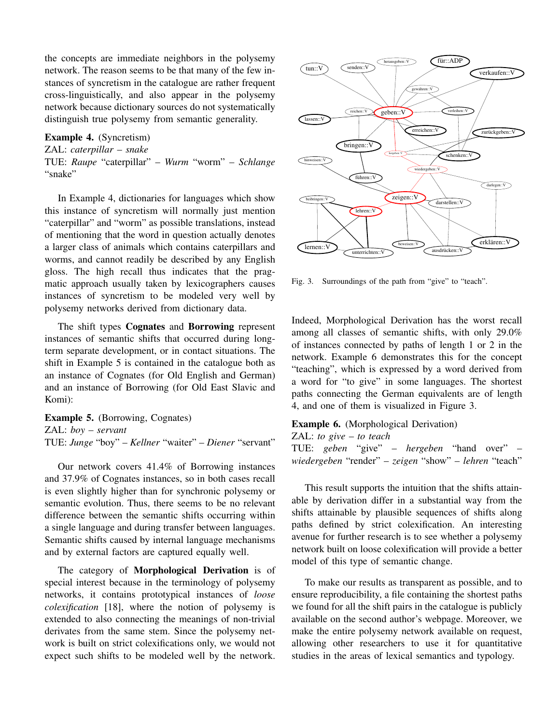the concepts are immediate neighbors in the polysemy network. The reason seems to be that many of the few instances of syncretism in the catalogue are rather frequent cross-linguistically, and also appear in the polysemy network because dictionary sources do not systematically distinguish true polysemy from semantic generality.

Example 4. (Syncretism) ZAL: *caterpillar* – *snake* TUE: *Raupe* "caterpillar" – *Wurm* "worm" – *Schlange* "snake"

In Example 4, dictionaries for languages which show this instance of syncretism will normally just mention "caterpillar" and "worm" as possible translations, instead of mentioning that the word in question actually denotes a larger class of animals which contains caterpillars and worms, and cannot readily be described by any English gloss. The high recall thus indicates that the pragmatic approach usually taken by lexicographers causes instances of syncretism to be modeled very well by polysemy networks derived from dictionary data.

The shift types Cognates and Borrowing represent instances of semantic shifts that occurred during longterm separate development, or in contact situations. The shift in Example 5 is contained in the catalogue both as an instance of Cognates (for Old English and German) and an instance of Borrowing (for Old East Slavic and Komi):

Example 5. (Borrowing, Cognates) ZAL: *boy* – *servant* TUE: *Junge* "boy" – *Kellner* "waiter" – *Diener* "servant"

Our network covers 41.4% of Borrowing instances and 37.9% of Cognates instances, so in both cases recall is even slightly higher than for synchronic polysemy or semantic evolution. Thus, there seems to be no relevant difference between the semantic shifts occurring within a single language and during transfer between languages. Semantic shifts caused by internal language mechanisms and by external factors are captured equally well. and a respect to the model of the model of the model of the model of the model of the model of the model of the model of the model of the model of the model of the model of the model of the model of the model of the model

The category of **Morphological Derivation** is of special interest because in the terminology of polysemy networks, it contains prototypical instances of *loose colexification* [18], where the notion of polysemy is extended to also connecting the meanings of non-trivial derivates from the same stem. Since the polysemy network is built on strict colexifications only, we would not



Fig. 3. Surroundings of the path from "give" to "teach".

Indeed, Morphological Derivation has the worst recall among all classes of semantic shifts, with only 29.0% of instances connected by paths of length 1 or 2 in the network. Example 6 demonstrates this for the concept "teaching", which is expressed by a word derived from a word for "to give" in some languages. The shortest paths connecting the German equivalents are of length 4, and one of them is visualized in Figure 3.

## Example 6. (Morphological Derivation)

ZAL: *to give* – *to teach*

TUE: *geben* "give" – *hergeben* "hand over" – *wiedergeben* "render" – *zeigen* "show" – *lehren* "teach"

This result supports the intuition that the shifts attainable by derivation differ in a substantial way from the shifts attainable by plausible sequences of shifts along paths defined by strict colexification. An interesting avenue for further research is to see whether a polysemy network built on loose colexification will provide a better model of this type of semantic change.

To make our results as transparent as possible, and to ensure reproducibility, a file containing the shortest paths we found for all the shift pairs in the catalogue is publicly available on the second author's webpage. Moreover, we make the entire polysemy network available on request, allowing other researchers to use it for quantitative studies in the areas of lexical semantics and typology.